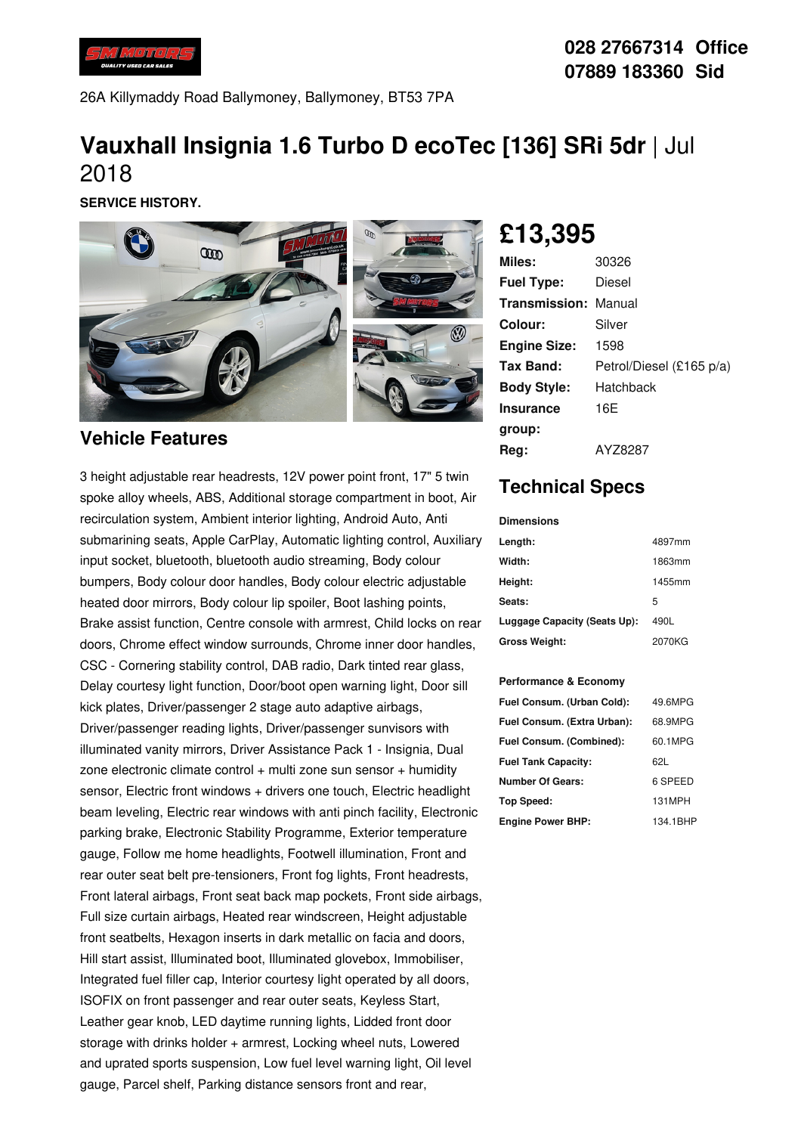

26A Killymaddy Road Ballymoney, Ballymoney, BT53 7PA

# **Vauxhall Insignia 1.6 Turbo D ecoTec [136] SRi 5dr** |Jul 2018

**SERVICE HISTORY.**



#### **Vehicle Features**

3 height adjustable rear headrests, 12V power point front, 17" 5 twin spoke alloy wheels, ABS, Additional storage compartment in boot, Air recirculation system, Ambient interior lighting, Android Auto, Anti submarining seats, Apple CarPlay, Automatic lighting control, Auxiliary input socket, bluetooth, bluetooth audio streaming, Body colour bumpers, Body colour door handles, Body colour electric adjustable heated door mirrors, Body colour lip spoiler, Boot lashing points, Brake assist function, Centre console with armrest, Child locks on rear doors, Chrome effect window surrounds, Chrome inner door handles, CSC - Cornering stability control, DAB radio, Dark tinted rear glass, Delay courtesy light function, Door/boot open warning light, Door sill kick plates, Driver/passenger 2 stage auto adaptive airbags, Driver/passenger reading lights, Driver/passenger sunvisors with illuminated vanity mirrors, Driver Assistance Pack 1 - Insignia, Dual zone electronic climate control  $+$  multi zone sun sensor  $+$  humidity sensor, Electric front windows + drivers one touch, Electric headlight beam leveling, Electric rear windows with anti pinch facility, Electronic parking brake, Electronic Stability Programme, Exterior temperature gauge, Follow me home headlights, Footwell illumination, Front and rear outer seat belt pre-tensioners, Front fog lights, Front headrests, Front lateral airbags, Front seat back map pockets, Front side airbags, Full size curtain airbags, Heated rear windscreen, Height adjustable front seatbelts, Hexagon inserts in dark metallic on facia and doors, Hill start assist, Illuminated boot, Illuminated glovebox, Immobiliser, Integrated fuel filler cap, Interior courtesy light operated by all doors, ISOFIX on front passenger and rear outer seats, Keyless Start, Leather gear knob, LED daytime running lights, Lidded front door storage with drinks holder + armrest, Locking wheel nuts, Lowered and uprated sports suspension, Low fuel level warning light, Oil level gauge, Parcel shelf, Parking distance sensors front and rear,

**£13,395**

| <b>Miles:</b>               | 30326                    |
|-----------------------------|--------------------------|
| <b>Fuel Type:</b>           | Diesel                   |
| <b>Transmission: Manual</b> |                          |
| Colour:                     | Silver                   |
| <b>Engine Size:</b>         | 1598                     |
| Tax Band:                   | Petrol/Diesel (£165 p/a) |
| <b>Body Style:</b>          | Hatchback                |
| <b>Insurance</b>            | 16E                      |
| group:                      |                          |
| Reg:                        | AYZ8287                  |

## **Technical Specs**

**Dimensions**

| Length:                      | 4897mm |
|------------------------------|--------|
| Width:                       | 1863mm |
| Height:                      | 1455mm |
| Seats:                       | 5      |
| Luggage Capacity (Seats Up): | 490L   |
| <b>Gross Weight:</b>         | 2070KG |

#### **Performance & Economy**

| Fuel Consum. (Urban Cold):  | 49.6MPG  |
|-----------------------------|----------|
| Fuel Consum. (Extra Urban): | 68.9MPG  |
| Fuel Consum. (Combined):    | 60.1MPG  |
| <b>Fuel Tank Capacity:</b>  | 62L      |
| <b>Number Of Gears:</b>     | 6 SPEED  |
| Top Speed:                  | 131MPH   |
| <b>Engine Power BHP:</b>    | 134.1BHP |